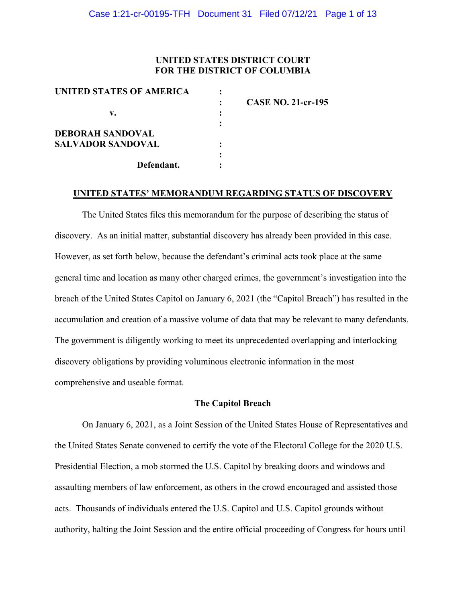## **UNITED STATES DISTRICT COURT FOR THE DISTRICT OF COLUMBIA**

| UNITED STATES OF AMERICA |                           |
|--------------------------|---------------------------|
|                          | <b>CASE NO. 21-cr-195</b> |
| v.                       |                           |
|                          |                           |
| <b>DEBORAH SANDOVAL</b>  |                           |
| <b>SALVADOR SANDOVAL</b> |                           |
|                          |                           |
| Defendant.               |                           |
|                          |                           |

### **UNITED STATES' MEMORANDUM REGARDING STATUS OF DISCOVERY**

The United States files this memorandum for the purpose of describing the status of discovery. As an initial matter, substantial discovery has already been provided in this case. However, as set forth below, because the defendant's criminal acts took place at the same general time and location as many other charged crimes, the government's investigation into the breach of the United States Capitol on January 6, 2021 (the "Capitol Breach") has resulted in the accumulation and creation of a massive volume of data that may be relevant to many defendants. The government is diligently working to meet its unprecedented overlapping and interlocking discovery obligations by providing voluminous electronic information in the most comprehensive and useable format.

## **The Capitol Breach**

On January 6, 2021, as a Joint Session of the United States House of Representatives and the United States Senate convened to certify the vote of the Electoral College for the 2020 U.S. Presidential Election, a mob stormed the U.S. Capitol by breaking doors and windows and assaulting members of law enforcement, as others in the crowd encouraged and assisted those acts. Thousands of individuals entered the U.S. Capitol and U.S. Capitol grounds without authority, halting the Joint Session and the entire official proceeding of Congress for hours until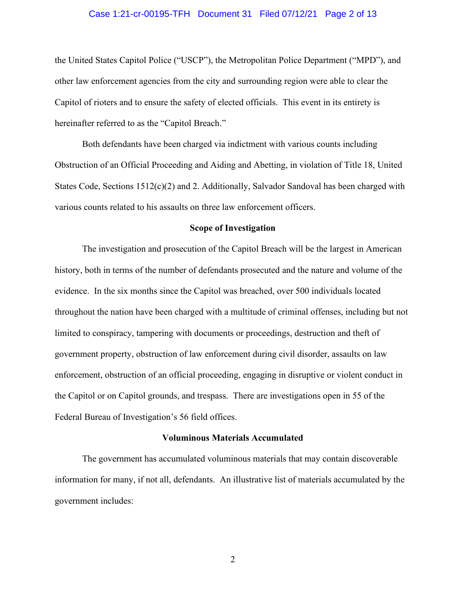## Case 1:21-cr-00195-TFH Document 31 Filed 07/12/21 Page 2 of 13

the United States Capitol Police ("USCP"), the Metropolitan Police Department ("MPD"), and other law enforcement agencies from the city and surrounding region were able to clear the Capitol of rioters and to ensure the safety of elected officials. This event in its entirety is hereinafter referred to as the "Capitol Breach."

Both defendants have been charged via indictment with various counts including Obstruction of an Official Proceeding and Aiding and Abetting, in violation of Title 18, United States Code, Sections  $1512(c)(2)$  and 2. Additionally, Salvador Sandoval has been charged with various counts related to his assaults on three law enforcement officers.

#### **Scope of Investigation**

The investigation and prosecution of the Capitol Breach will be the largest in American history, both in terms of the number of defendants prosecuted and the nature and volume of the evidence. In the six months since the Capitol was breached, over 500 individuals located throughout the nation have been charged with a multitude of criminal offenses, including but not limited to conspiracy, tampering with documents or proceedings, destruction and theft of government property, obstruction of law enforcement during civil disorder, assaults on law enforcement, obstruction of an official proceeding, engaging in disruptive or violent conduct in the Capitol or on Capitol grounds, and trespass. There are investigations open in 55 of the Federal Bureau of Investigation's 56 field offices.

## **Voluminous Materials Accumulated**

The government has accumulated voluminous materials that may contain discoverable information for many, if not all, defendants. An illustrative list of materials accumulated by the government includes: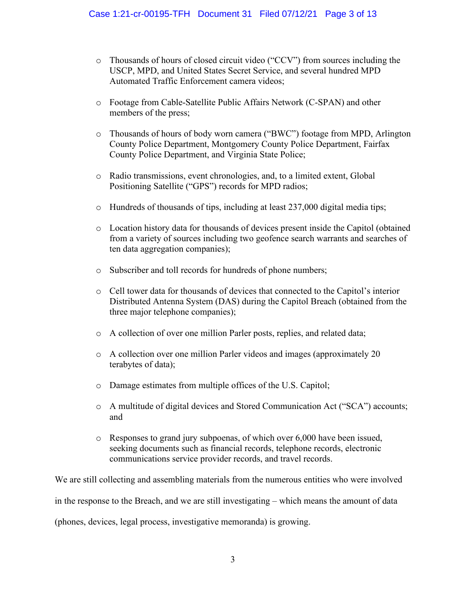- o Thousands of hours of closed circuit video ("CCV") from sources including the USCP, MPD, and United States Secret Service, and several hundred MPD Automated Traffic Enforcement camera videos;
- o Footage from Cable-Satellite Public Affairs Network (C-SPAN) and other members of the press;
- o Thousands of hours of body worn camera ("BWC") footage from MPD, Arlington County Police Department, Montgomery County Police Department, Fairfax County Police Department, and Virginia State Police;
- o Radio transmissions, event chronologies, and, to a limited extent, Global Positioning Satellite ("GPS") records for MPD radios;
- $\circ$  Hundreds of thousands of tips, including at least 237,000 digital media tips;
- o Location history data for thousands of devices present inside the Capitol (obtained from a variety of sources including two geofence search warrants and searches of ten data aggregation companies);
- o Subscriber and toll records for hundreds of phone numbers;
- o Cell tower data for thousands of devices that connected to the Capitol's interior Distributed Antenna System (DAS) during the Capitol Breach (obtained from the three major telephone companies);
- o A collection of over one million Parler posts, replies, and related data;
- o A collection over one million Parler videos and images (approximately 20 terabytes of data);
- o Damage estimates from multiple offices of the U.S. Capitol;
- o A multitude of digital devices and Stored Communication Act ("SCA") accounts; and
- o Responses to grand jury subpoenas, of which over 6,000 have been issued, seeking documents such as financial records, telephone records, electronic communications service provider records, and travel records.

We are still collecting and assembling materials from the numerous entities who were involved in the response to the Breach, and we are still investigating – which means the amount of data (phones, devices, legal process, investigative memoranda) is growing.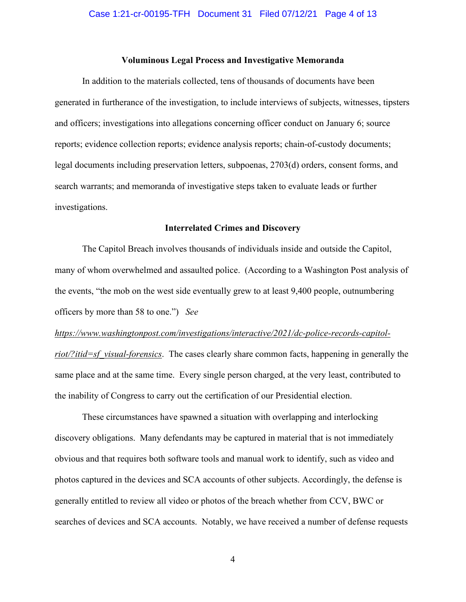## **Voluminous Legal Process and Investigative Memoranda**

In addition to the materials collected, tens of thousands of documents have been generated in furtherance of the investigation, to include interviews of subjects, witnesses, tipsters and officers; investigations into allegations concerning officer conduct on January 6; source reports; evidence collection reports; evidence analysis reports; chain-of-custody documents; legal documents including preservation letters, subpoenas, 2703(d) orders, consent forms, and search warrants; and memoranda of investigative steps taken to evaluate leads or further investigations.

#### **Interrelated Crimes and Discovery**

The Capitol Breach involves thousands of individuals inside and outside the Capitol, many of whom overwhelmed and assaulted police. (According to a Washington Post analysis of the events, "the mob on the west side eventually grew to at least 9,400 people, outnumbering officers by more than 58 to one.") *See* 

# *https://www.washingtonpost.com/investigations/interactive/2021/dc-police-records-capitolriot/?itid=sf\_visual-forensics*. The cases clearly share common facts, happening in generally the

same place and at the same time. Every single person charged, at the very least, contributed to the inability of Congress to carry out the certification of our Presidential election.

These circumstances have spawned a situation with overlapping and interlocking discovery obligations. Many defendants may be captured in material that is not immediately obvious and that requires both software tools and manual work to identify, such as video and photos captured in the devices and SCA accounts of other subjects. Accordingly, the defense is generally entitled to review all video or photos of the breach whether from CCV, BWC or searches of devices and SCA accounts. Notably, we have received a number of defense requests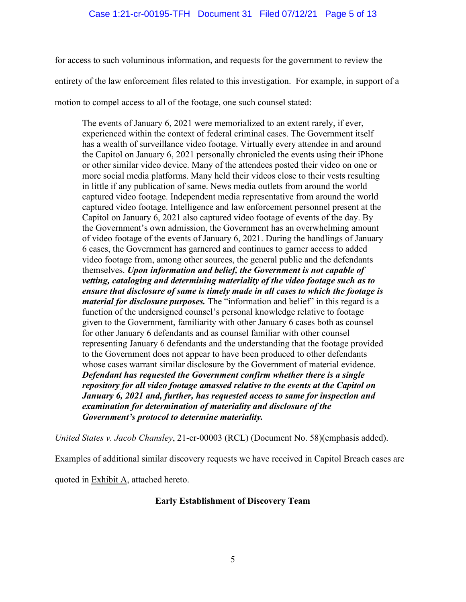for access to such voluminous information, and requests for the government to review the entirety of the law enforcement files related to this investigation. For example, in support of a motion to compel access to all of the footage, one such counsel stated:

The events of January 6, 2021 were memorialized to an extent rarely, if ever, experienced within the context of federal criminal cases. The Government itself has a wealth of surveillance video footage. Virtually every attendee in and around the Capitol on January 6, 2021 personally chronicled the events using their iPhone or other similar video device. Many of the attendees posted their video on one or more social media platforms. Many held their videos close to their vests resulting in little if any publication of same. News media outlets from around the world captured video footage. Independent media representative from around the world captured video footage. Intelligence and law enforcement personnel present at the Capitol on January 6, 2021 also captured video footage of events of the day. By the Government's own admission, the Government has an overwhelming amount of video footage of the events of January 6, 2021. During the handlings of January 6 cases, the Government has garnered and continues to garner access to added video footage from, among other sources, the general public and the defendants themselves. *Upon information and belief, the Government is not capable of vetting, cataloging and determining materiality of the video footage such as to ensure that disclosure of same is timely made in all cases to which the footage is material for disclosure purposes.* The "information and belief" in this regard is a function of the undersigned counsel's personal knowledge relative to footage given to the Government, familiarity with other January 6 cases both as counsel for other January 6 defendants and as counsel familiar with other counsel representing January 6 defendants and the understanding that the footage provided to the Government does not appear to have been produced to other defendants whose cases warrant similar disclosure by the Government of material evidence. *Defendant has requested the Government confirm whether there is a single repository for all video footage amassed relative to the events at the Capitol on January 6, 2021 and, further, has requested access to same for inspection and examination for determination of materiality and disclosure of the Government's protocol to determine materiality.*

*United States v. Jacob Chansley*, 21-cr-00003 (RCL) (Document No. 58)(emphasis added).

Examples of additional similar discovery requests we have received in Capitol Breach cases are

quoted in **Exhibit A**, attached hereto.

## **Early Establishment of Discovery Team**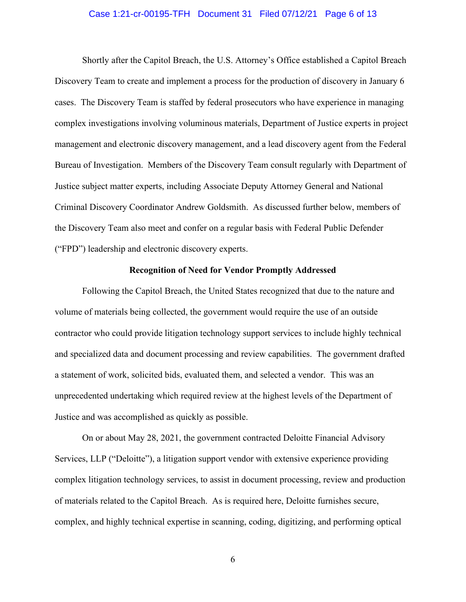## Case 1:21-cr-00195-TFH Document 31 Filed 07/12/21 Page 6 of 13

Shortly after the Capitol Breach, the U.S. Attorney's Office established a Capitol Breach Discovery Team to create and implement a process for the production of discovery in January 6 cases. The Discovery Team is staffed by federal prosecutors who have experience in managing complex investigations involving voluminous materials, Department of Justice experts in project management and electronic discovery management, and a lead discovery agent from the Federal Bureau of Investigation. Members of the Discovery Team consult regularly with Department of Justice subject matter experts, including Associate Deputy Attorney General and National Criminal Discovery Coordinator Andrew Goldsmith. As discussed further below, members of the Discovery Team also meet and confer on a regular basis with Federal Public Defender ("FPD") leadership and electronic discovery experts.

## **Recognition of Need for Vendor Promptly Addressed**

Following the Capitol Breach, the United States recognized that due to the nature and volume of materials being collected, the government would require the use of an outside contractor who could provide litigation technology support services to include highly technical and specialized data and document processing and review capabilities. The government drafted a statement of work, solicited bids, evaluated them, and selected a vendor. This was an unprecedented undertaking which required review at the highest levels of the Department of Justice and was accomplished as quickly as possible.

On or about May 28, 2021, the government contracted Deloitte Financial Advisory Services, LLP ("Deloitte"), a litigation support vendor with extensive experience providing complex litigation technology services, to assist in document processing, review and production of materials related to the Capitol Breach. As is required here, Deloitte furnishes secure, complex, and highly technical expertise in scanning, coding, digitizing, and performing optical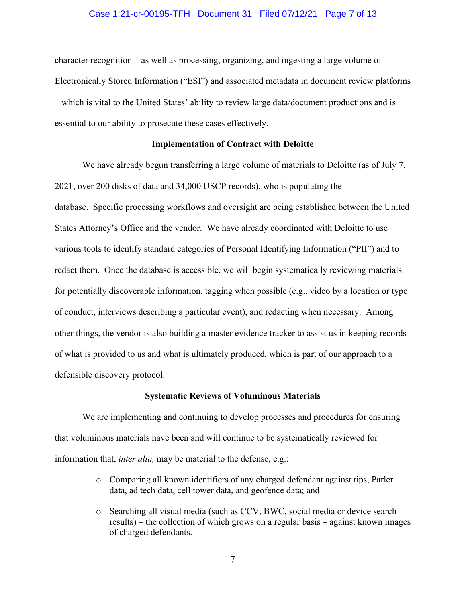## Case 1:21-cr-00195-TFH Document 31 Filed 07/12/21 Page 7 of 13

character recognition – as well as processing, organizing, and ingesting a large volume of Electronically Stored Information ("ESI") and associated metadata in document review platforms – which is vital to the United States' ability to review large data/document productions and is essential to our ability to prosecute these cases effectively.

## **Implementation of Contract with Deloitte**

We have already begun transferring a large volume of materials to Deloitte (as of July 7, 2021, over 200 disks of data and 34,000 USCP records), who is populating the database. Specific processing workflows and oversight are being established between the United States Attorney's Office and the vendor. We have already coordinated with Deloitte to use various tools to identify standard categories of Personal Identifying Information ("PII") and to redact them. Once the database is accessible, we will begin systematically reviewing materials for potentially discoverable information, tagging when possible (e.g., video by a location or type of conduct, interviews describing a particular event), and redacting when necessary. Among other things, the vendor is also building a master evidence tracker to assist us in keeping records of what is provided to us and what is ultimately produced, which is part of our approach to a defensible discovery protocol.

### **Systematic Reviews of Voluminous Materials**

We are implementing and continuing to develop processes and procedures for ensuring that voluminous materials have been and will continue to be systematically reviewed for information that, *inter alia,* may be material to the defense, e.g.:

- o Comparing all known identifiers of any charged defendant against tips, Parler data, ad tech data, cell tower data, and geofence data; and
- o Searching all visual media (such as CCV, BWC, social media or device search results) – the collection of which grows on a regular basis – against known images of charged defendants.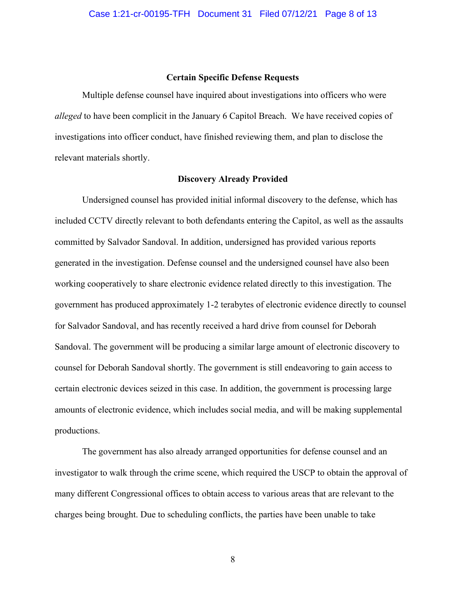## **Certain Specific Defense Requests**

Multiple defense counsel have inquired about investigations into officers who were *alleged* to have been complicit in the January 6 Capitol Breach. We have received copies of investigations into officer conduct, have finished reviewing them, and plan to disclose the relevant materials shortly.

#### **Discovery Already Provided**

Undersigned counsel has provided initial informal discovery to the defense, which has included CCTV directly relevant to both defendants entering the Capitol, as well as the assaults committed by Salvador Sandoval. In addition, undersigned has provided various reports generated in the investigation. Defense counsel and the undersigned counsel have also been working cooperatively to share electronic evidence related directly to this investigation. The government has produced approximately 1-2 terabytes of electronic evidence directly to counsel for Salvador Sandoval, and has recently received a hard drive from counsel for Deborah Sandoval. The government will be producing a similar large amount of electronic discovery to counsel for Deborah Sandoval shortly. The government is still endeavoring to gain access to certain electronic devices seized in this case. In addition, the government is processing large amounts of electronic evidence, which includes social media, and will be making supplemental productions.

The government has also already arranged opportunities for defense counsel and an investigator to walk through the crime scene, which required the USCP to obtain the approval of many different Congressional offices to obtain access to various areas that are relevant to the charges being brought. Due to scheduling conflicts, the parties have been unable to take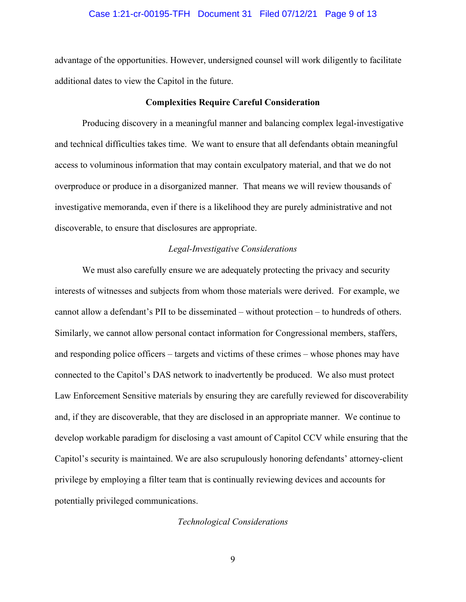## Case 1:21-cr-00195-TFH Document 31 Filed 07/12/21 Page 9 of 13

advantage of the opportunities. However, undersigned counsel will work diligently to facilitate additional dates to view the Capitol in the future.

## **Complexities Require Careful Consideration**

Producing discovery in a meaningful manner and balancing complex legal-investigative and technical difficulties takes time. We want to ensure that all defendants obtain meaningful access to voluminous information that may contain exculpatory material, and that we do not overproduce or produce in a disorganized manner. That means we will review thousands of investigative memoranda, even if there is a likelihood they are purely administrative and not discoverable, to ensure that disclosures are appropriate.

## *Legal-Investigative Considerations*

We must also carefully ensure we are adequately protecting the privacy and security interests of witnesses and subjects from whom those materials were derived. For example, we cannot allow a defendant's PII to be disseminated – without protection – to hundreds of others. Similarly, we cannot allow personal contact information for Congressional members, staffers, and responding police officers – targets and victims of these crimes – whose phones may have connected to the Capitol's DAS network to inadvertently be produced. We also must protect Law Enforcement Sensitive materials by ensuring they are carefully reviewed for discoverability and, if they are discoverable, that they are disclosed in an appropriate manner. We continue to develop workable paradigm for disclosing a vast amount of Capitol CCV while ensuring that the Capitol's security is maintained. We are also scrupulously honoring defendants' attorney-client privilege by employing a filter team that is continually reviewing devices and accounts for potentially privileged communications.

*Technological Considerations*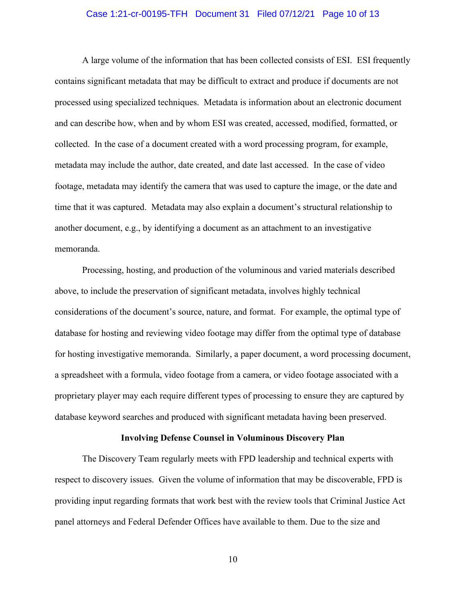## Case 1:21-cr-00195-TFH Document 31 Filed 07/12/21 Page 10 of 13

A large volume of the information that has been collected consists of ESI. ESI frequently contains significant metadata that may be difficult to extract and produce if documents are not processed using specialized techniques. Metadata is information about an electronic document and can describe how, when and by whom ESI was created, accessed, modified, formatted, or collected. In the case of a document created with a word processing program, for example, metadata may include the author, date created, and date last accessed. In the case of video footage, metadata may identify the camera that was used to capture the image, or the date and time that it was captured. Metadata may also explain a document's structural relationship to another document, e.g., by identifying a document as an attachment to an investigative memoranda.

Processing, hosting, and production of the voluminous and varied materials described above, to include the preservation of significant metadata, involves highly technical considerations of the document's source, nature, and format. For example, the optimal type of database for hosting and reviewing video footage may differ from the optimal type of database for hosting investigative memoranda. Similarly, a paper document, a word processing document, a spreadsheet with a formula, video footage from a camera, or video footage associated with a proprietary player may each require different types of processing to ensure they are captured by database keyword searches and produced with significant metadata having been preserved.

#### **Involving Defense Counsel in Voluminous Discovery Plan**

The Discovery Team regularly meets with FPD leadership and technical experts with respect to discovery issues. Given the volume of information that may be discoverable, FPD is providing input regarding formats that work best with the review tools that Criminal Justice Act panel attorneys and Federal Defender Offices have available to them. Due to the size and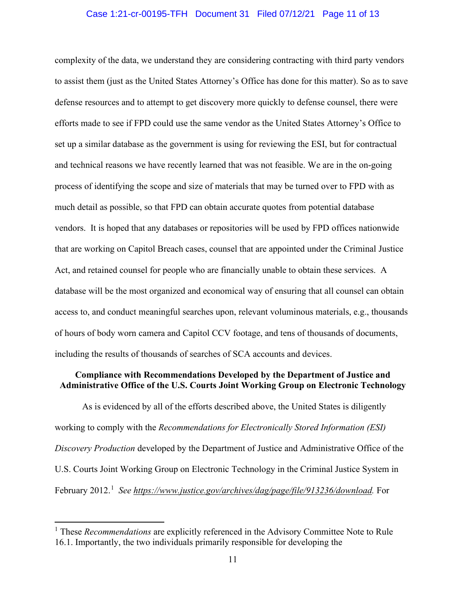## Case 1:21-cr-00195-TFH Document 31 Filed 07/12/21 Page 11 of 13

complexity of the data, we understand they are considering contracting with third party vendors to assist them (just as the United States Attorney's Office has done for this matter). So as to save defense resources and to attempt to get discovery more quickly to defense counsel, there were efforts made to see if FPD could use the same vendor as the United States Attorney's Office to set up a similar database as the government is using for reviewing the ESI, but for contractual and technical reasons we have recently learned that was not feasible. We are in the on-going process of identifying the scope and size of materials that may be turned over to FPD with as much detail as possible, so that FPD can obtain accurate quotes from potential database vendors. It is hoped that any databases or repositories will be used by FPD offices nationwide that are working on Capitol Breach cases, counsel that are appointed under the Criminal Justice Act, and retained counsel for people who are financially unable to obtain these services. A database will be the most organized and economical way of ensuring that all counsel can obtain access to, and conduct meaningful searches upon, relevant voluminous materials, e.g., thousands of hours of body worn camera and Capitol CCV footage, and tens of thousands of documents, including the results of thousands of searches of SCA accounts and devices.

## **Compliance with Recommendations Developed by the Department of Justice and Administrative Office of the U.S. Courts Joint Working Group on Electronic Technology**

As is evidenced by all of the efforts described above, the United States is diligently working to comply with the *Recommendations for Electronically Stored Information (ESI) Discovery Production* developed by the Department of Justice and Administrative Office of the U.S. Courts Joint Working Group on Electronic Technology in the Criminal Justice System in February 2012.<sup>1</sup> See https://www.justice.gov/archives/dag/page/file/913236/download. For

<sup>1</sup> These *Recommendations* are explicitly referenced in the Advisory Committee Note to Rule 16.1. Importantly, the two individuals primarily responsible for developing the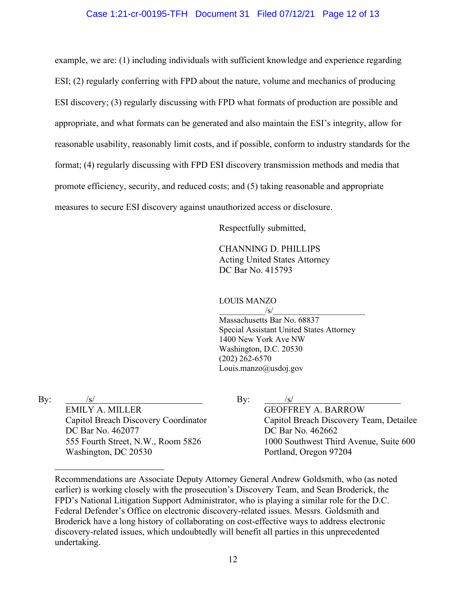## Case 1:21-cr-00195-TFH Document 31 Filed 07/12/21 Page 12 of 13

example, we are: (1) including individuals with sufficient knowledge and experience regarding ESI; (2) regularly conferring with FPD about the nature, volume and mechanics of producing ESI discovery; (3) regularly discussing with FPD what formats of production are possible and appropriate, and what formats can be generated and also maintain the ESI's integrity, allow for reasonable usability, reasonably limit costs, and if possible, conform to industry standards for the format; (4) regularly discussing with FPD ESI discovery transmission methods and media that promote efficiency, security, and reduced costs; and (5) taking reasonable and appropriate measures to secure ESI discovery against unauthorized access or disclosure.

Respectfully submitted,

CHANNING D. PHILLIPS Acting United States Attorney DC Bar No. 415793

## LOUIS MANZO

 $\sqrt{s}/\sqrt{s}$ Massachusetts Bar No. 68837 Special Assistant United States Attorney 1400 New York Ave NW Washington, D.C. 20530 (202) 262-6570 Louis.manzo@usdoj.gov

By:  $/s/$ 

EMILY A. MILLER Capitol Breach Discovery Coordinator DC Bar No. 462077 555 Fourth Street, N.W., Room 5826 Washington, DC 20530

By:  $/s/$ 

GEOFFREY A. BARROW Capitol Breach Discovery Team, Detailee DC Bar No. 462662 1000 Southwest Third Avenue, Suite 600 Portland, Oregon 97204

Recommendations are Associate Deputy Attorney General Andrew Goldsmith, who (as noted earlier) is working closely with the prosecution's Discovery Team, and Sean Broderick, the FPD's National Litigation Support Administrator, who is playing a similar role for the D.C. Federal Defender's Office on electronic discovery-related issues. Messrs. Goldsmith and Broderick have a long history of collaborating on cost-effective ways to address electronic discovery-related issues, which undoubtedly will benefit all parties in this unprecedented undertaking.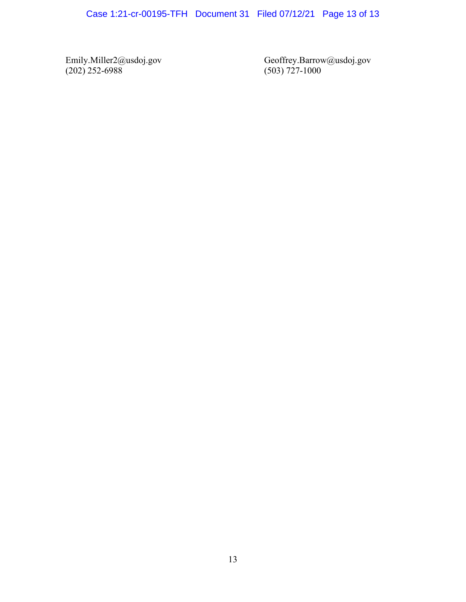Emily.Miller2@usdoj.gov (202) 252-6988

Geoffrey.Barrow@usdoj.gov (503) 727-1000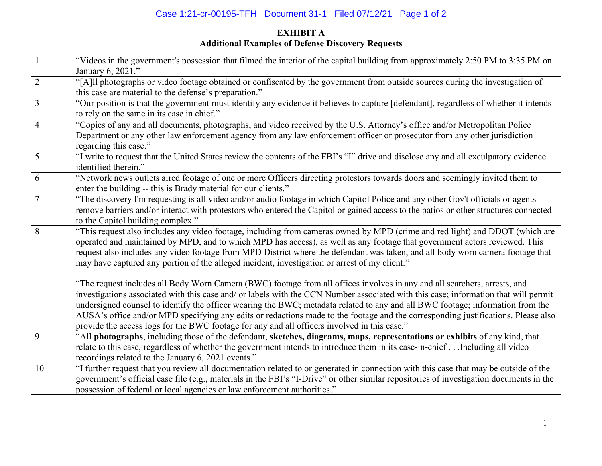## Case 1:21-cr-00195-TFH Document 31-1 Filed 07/12/21 Page 1 of 2

## **EXHIBIT A Additional Examples of Defense Discovery Requests**

|                | "Videos in the government's possession that filmed the interior of the capital building from approximately 2:50 PM to 3:35 PM on<br>January 6, 2021."                                                                                                                                                                                                                                                                                                                                                                                                                                                                                   |
|----------------|-----------------------------------------------------------------------------------------------------------------------------------------------------------------------------------------------------------------------------------------------------------------------------------------------------------------------------------------------------------------------------------------------------------------------------------------------------------------------------------------------------------------------------------------------------------------------------------------------------------------------------------------|
| $\overline{2}$ | "[A]ll photographs or video footage obtained or confiscated by the government from outside sources during the investigation of<br>this case are material to the defense's preparation."                                                                                                                                                                                                                                                                                                                                                                                                                                                 |
| 3              | "Our position is that the government must identify any evidence it believes to capture [defendant], regardless of whether it intends<br>to rely on the same in its case in chief."                                                                                                                                                                                                                                                                                                                                                                                                                                                      |
| $\overline{4}$ | "Copies of any and all documents, photographs, and video received by the U.S. Attorney's office and/or Metropolitan Police<br>Department or any other law enforcement agency from any law enforcement officer or prosecutor from any other jurisdiction<br>regarding this case."                                                                                                                                                                                                                                                                                                                                                        |
| 5              | "I write to request that the United States review the contents of the FBI's "I" drive and disclose any and all exculpatory evidence<br>identified therein."                                                                                                                                                                                                                                                                                                                                                                                                                                                                             |
| 6              | "Network news outlets aired footage of one or more Officers directing protestors towards doors and seemingly invited them to<br>enter the building -- this is Brady material for our clients."                                                                                                                                                                                                                                                                                                                                                                                                                                          |
| $\overline{7}$ | "The discovery I'm requesting is all video and/or audio footage in which Capitol Police and any other Gov't officials or agents<br>remove barriers and/or interact with protestors who entered the Capitol or gained access to the patios or other structures connected<br>to the Capitol building complex."                                                                                                                                                                                                                                                                                                                            |
| 8              | "This request also includes any video footage, including from cameras owned by MPD (crime and red light) and DDOT (which are<br>operated and maintained by MPD, and to which MPD has access), as well as any footage that government actors reviewed. This<br>request also includes any video footage from MPD District where the defendant was taken, and all body worn camera footage that<br>may have captured any portion of the alleged incident, investigation or arrest of my client."                                                                                                                                           |
|                | "The request includes all Body Worn Camera (BWC) footage from all offices involves in any and all searchers, arrests, and<br>investigations associated with this case and/ or labels with the CCN Number associated with this case; information that will permit<br>undersigned counsel to identify the officer wearing the BWC; metadata related to any and all BWC footage; information from the<br>AUSA's office and/or MPD specifying any edits or redactions made to the footage and the corresponding justifications. Please also<br>provide the access logs for the BWC footage for any and all officers involved in this case." |
| 9              | "All photographs, including those of the defendant, sketches, diagrams, maps, representations or exhibits of any kind, that<br>relate to this case, regardless of whether the government intends to introduce them in its case-in-chiefIncluding all video<br>recordings related to the January 6, 2021 events."                                                                                                                                                                                                                                                                                                                        |
| 10             | "I further request that you review all documentation related to or generated in connection with this case that may be outside of the<br>government's official case file (e.g., materials in the FBI's "I-Drive" or other similar repositories of investigation documents in the<br>possession of federal or local agencies or law enforcement authorities."                                                                                                                                                                                                                                                                             |